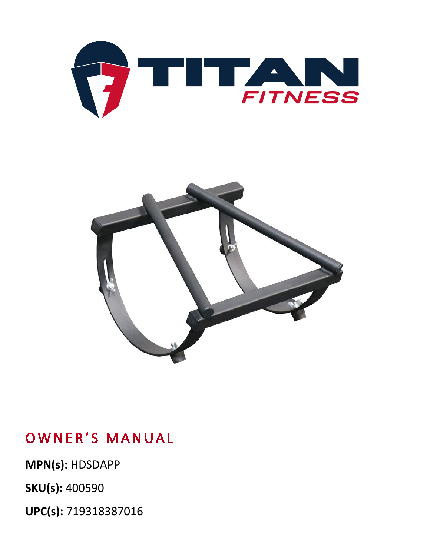



# OWNER'S MANUAL

MPN(s): HDSDAPP

UPC(s): 719318387016

**SKU(s): 400590**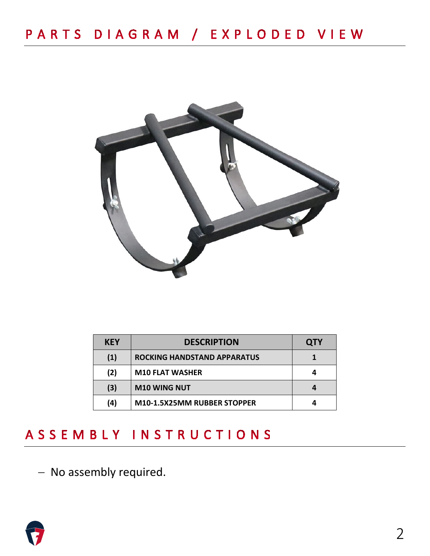

| <b>KEY</b> | <b>DESCRIPTION</b>                 | <b>QTY</b> |
|------------|------------------------------------|------------|
| (1)        | <b>ROCKING HANDSTAND APPARATUS</b> |            |
| (2)        | <b>M10 FLAT WASHER</b>             |            |
| (3)        | <b>M10 WING NUT</b>                |            |
| (4)        | M10-1.5X25MM RUBBER STOPPER        |            |

### ASSEMBLY INSTRUCTIONS

− No assembly required.